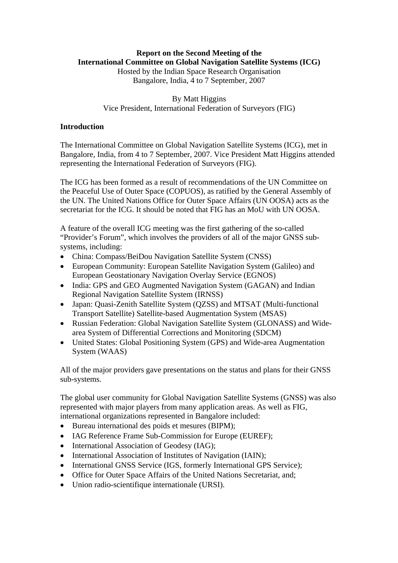## **Report on the Second Meeting of the International Committee on Global Navigation Satellite Systems (ICG)**

Hosted by the Indian Space Research Organisation Bangalore, India, 4 to 7 September, 2007

## By Matt Higgins Vice President, International Federation of Surveyors (FIG)

## **Introduction**

The International Committee on Global Navigation Satellite Systems (ICG), met in Bangalore, India, from 4 to 7 September, 2007. Vice President Matt Higgins attended representing the International Federation of Surveyors (FIG).

The ICG has been formed as a result of recommendations of the UN Committee on the Peaceful Use of Outer Space (COPUOS), as ratified by the General Assembly of the UN. The United Nations Office for Outer Space Affairs (UN OOSA) acts as the secretariat for the ICG. It should be noted that FIG has an MoU with UN OOSA.

A feature of the overall ICG meeting was the first gathering of the so-called "Provider's Forum", which involves the providers of all of the major GNSS subsystems, including:

- China: Compass/BeiDou Navigation Satellite System (CNSS)
- European Community: European Satellite Navigation System (Galileo) and European Geostationary Navigation Overlay Service (EGNOS)
- India: GPS and GEO Augmented Navigation System (GAGAN) and Indian Regional Navigation Satellite System (IRNSS)
- Japan: Quasi-Zenith Satellite System (QZSS) and MTSAT (Multi-functional Transport Satellite) Satellite-based Augmentation System (MSAS)
- Russian Federation: Global Navigation Satellite System (GLONASS) and Widearea System of Differential Corrections and Monitoring (SDCM)
- United States: Global Positioning System (GPS) and Wide-area Augmentation System (WAAS)

All of the major providers gave presentations on the status and plans for their GNSS sub-systems.

The global user community for Global Navigation Satellite Systems (GNSS) was also represented with major players from many application areas. As well as FIG, international organizations represented in Bangalore included:

- Bureau international des poids et mesures (BIPM);
- IAG Reference Frame Sub-Commission for Europe (EUREF);
- International Association of Geodesy (IAG);
- International Association of Institutes of Navigation (IAIN);
- International GNSS Service (IGS, formerly International GPS Service);
- Office for Outer Space Affairs of the United Nations Secretariat, and;
- Union radio-scientifique internationale (URSI).